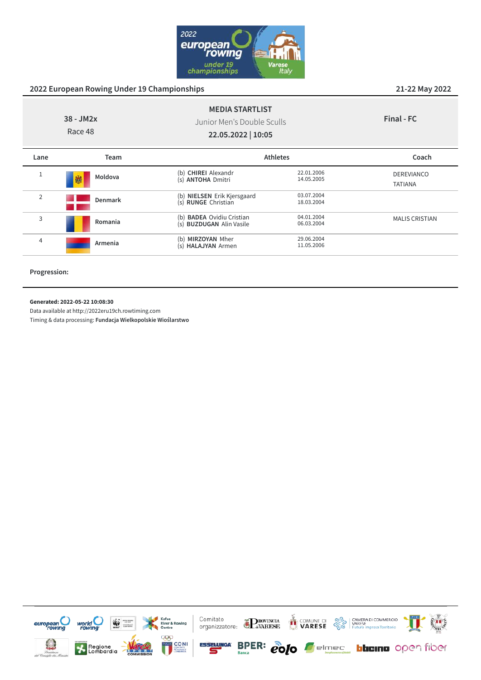

| $38 - JM2x$<br>Race 48 |                | <b>MEDIA STARTLIST</b><br>Junior Men's Double Sculls<br>22.05.2022   10:05 |                          | Final - FC                          |
|------------------------|----------------|----------------------------------------------------------------------------|--------------------------|-------------------------------------|
| Lane                   | Team           |                                                                            | <b>Athletes</b>          | Coach                               |
| Ŧ.                     | Moldova<br>鱜   | (b) CHIREI Alexandr<br>(s) ANTOHA Dmitri                                   | 22.01.2006<br>14.05.2005 | <b>DEREVIANCO</b><br><b>TATIANA</b> |
| $\overline{2}$         | <b>Denmark</b> | (b) NIELSEN Erik Kjersgaard<br>(s) RUNGE Christian                         | 03.07.2004<br>18.03.2004 |                                     |
| 3                      | Romania        | <b>BADEA</b> Ovidiu Cristian<br>(b)<br>(s) BUZDUGAN Alin Vasile            | 04.01.2004<br>06.03.2004 | <b>MALIS CRISTIAN</b>               |
| 4                      | Armenia        | MIRZOYAN Mher<br>(b)<br>(s) HALAJYAN Armen                                 | 29.06.2004<br>11.05.2006 |                                     |

**Progression:**

#### **Generated: 2022-05-22 10:08:30**

Data available at http://2022eru19ch.rowtiming.com

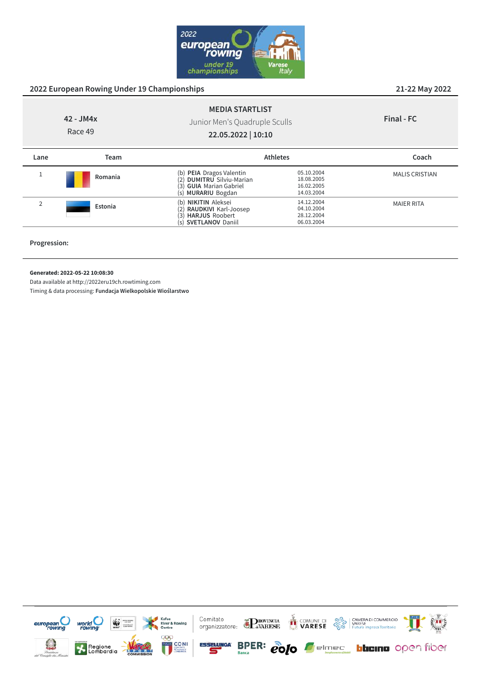

| 42 - JM4x<br>Race 49 |         | <b>MEDIA STARTLIST</b><br>Junior Men's Quadruple Sculls<br>22.05.2022   10:10                                                           |                                                      | Final - FC            |
|----------------------|---------|-----------------------------------------------------------------------------------------------------------------------------------------|------------------------------------------------------|-----------------------|
| Lane                 | Team    |                                                                                                                                         | <b>Athletes</b>                                      | Coach                 |
| Ŧ                    | Romania | <b>PEIA</b> Dragos Valentin<br>(b)<br><b>DUMITRU</b> Silviu-Marian<br>(2)<br><b>GUIA</b> Marian Gabriel<br>(3)<br>MURARIU Bogdan<br>(s) | 05.10.2004<br>18.08.2005<br>16.02.2005<br>14.03.2004 | <b>MALIS CRISTIAN</b> |
| 2                    | Estonia | <b>NIKITIN Aleksei</b><br>(b)<br>RAUDKIVI Karl-Joosep<br>(2)<br><b>HARJUS Roobert</b><br>(3)                                            | 14.12.2004<br>04.10.2004<br>28.12.2004               | <b>MAIER RITA</b>     |

(s) **SVETLANOV** Daniil 06.03.2004

**Progression:**

**Generated: 2022-05-22 10:08:30**

Data available at http://2022eru19ch.rowtiming.com

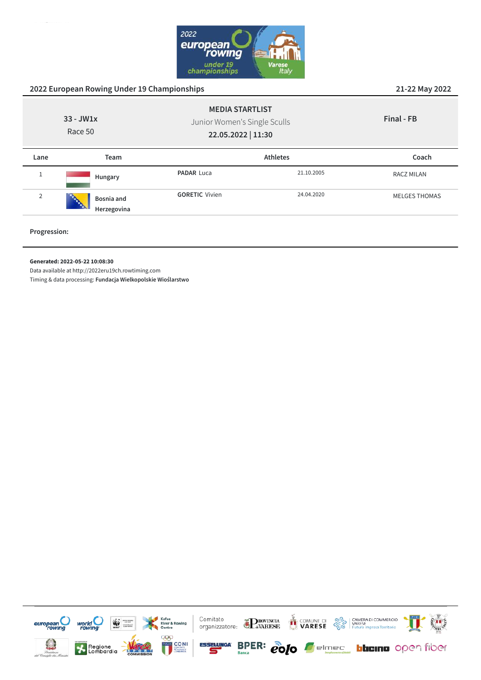

|                | 2022 European Rowing Under 19 Championships                                                            | 21-22 May 2022        |                 |                      |
|----------------|--------------------------------------------------------------------------------------------------------|-----------------------|-----------------|----------------------|
|                | <b>MEDIA STARTLIST</b><br>$33 - JW1x$<br>Junior Women's Single Sculls<br>Race 50<br>22.05.2022   11:30 |                       | Final - FB      |                      |
| Lane           | Team                                                                                                   |                       | <b>Athletes</b> | Coach                |
|                | Hungary                                                                                                | <b>PADAR Luca</b>     | 21.10.2005      | <b>RACZ MILAN</b>    |
| $\overline{2}$ | Bosnia and<br>Herzegovina                                                                              | <b>GORETIC Vivien</b> | 24.04.2020      | <b>MELGES THOMAS</b> |

**Progression:**

#### **Generated: 2022-05-22 10:08:30**

Data available at http://2022eru19ch.rowtiming.com

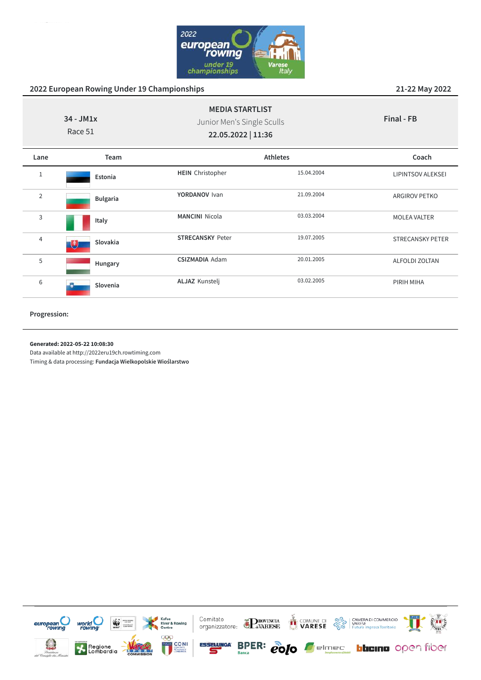

| $34 - JM1x$<br>Race 51 |                 | <b>MEDIA STARTLIST</b><br>Junior Men's Single Sculls<br>22.05.2022   11:36 |            | Final - FB               |  |
|------------------------|-----------------|----------------------------------------------------------------------------|------------|--------------------------|--|
| Lane                   | Team            |                                                                            | Athletes   | Coach                    |  |
| 1                      | Estonia         | <b>HEIN</b> Christopher                                                    | 15.04.2004 | <b>LIPINTSOV ALEKSEI</b> |  |
| $\overline{2}$         | <b>Bulgaria</b> | YORDANOV Ivan                                                              | 21.09.2004 | ARGIROV PETKO            |  |
| 3                      | Italy           | <b>MANCINI Nicola</b>                                                      | 03.03.2004 | <b>MOLEA VALTER</b>      |  |
| $\overline{4}$         | Slovakia<br>电   | <b>STRECANSKY Peter</b>                                                    | 19.07.2005 | <b>STRECANSKY PETER</b>  |  |
| 5                      | Hungary         | <b>CSIZMADIA Adam</b>                                                      | 20.01.2005 | ALFOLDI ZOLTAN           |  |
| 6                      | Slovenia        | <b>ALJAZ Kunstelj</b>                                                      | 03.02.2005 | PIRIH MIHA               |  |

**Progression:**

#### **Generated: 2022-05-22 10:08:30**

Data available at http://2022eru19ch.rowtiming.com

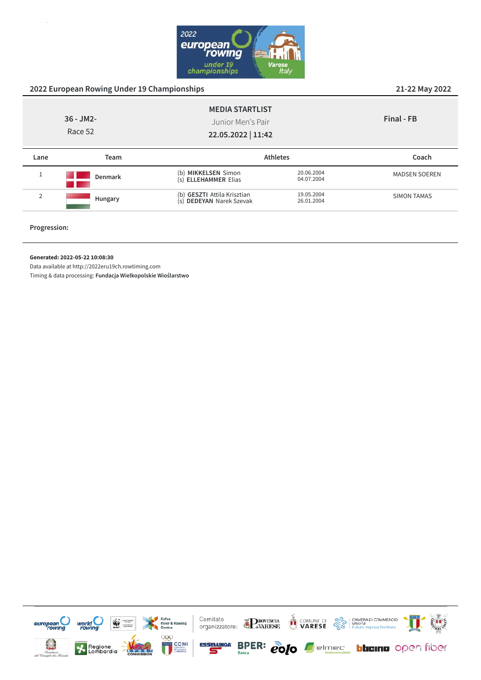

|                         |                |                                                                   |                          | __ __ _ _ _ _        |
|-------------------------|----------------|-------------------------------------------------------------------|--------------------------|----------------------|
| $36 - JM2$ -<br>Race 52 |                | <b>MEDIA STARTLIST</b><br>Junior Men's Pair<br>22.05.2022   11:42 |                          | Final - FB           |
| Lane                    | Team           |                                                                   | <b>Athletes</b>          | Coach                |
| $\mathbf{1}$            | <b>Denmark</b> | (b) MIKKELSEN Simon<br>(s) ELLEHAMMER Elias                       | 20.06.2004<br>04.07.2004 | <b>MADSEN SOEREN</b> |
| $\overline{2}$          | Hungary        | (b) GESZTI Attila Krisztian<br>(s) DEDEYAN Narek Szevak           | 19.05.2004<br>26.01.2004 | <b>SIMON TAMAS</b>   |
|                         |                |                                                                   |                          |                      |

**Progression:**

#### **Generated: 2022-05-22 10:08:30**

Data available at http://2022eru19ch.rowtiming.com

Timing & data processing: **Fundacja Wielkopolskie Wioślarstwo**



**2022 European Rowing Under 19 Championships 21-22 May 2022**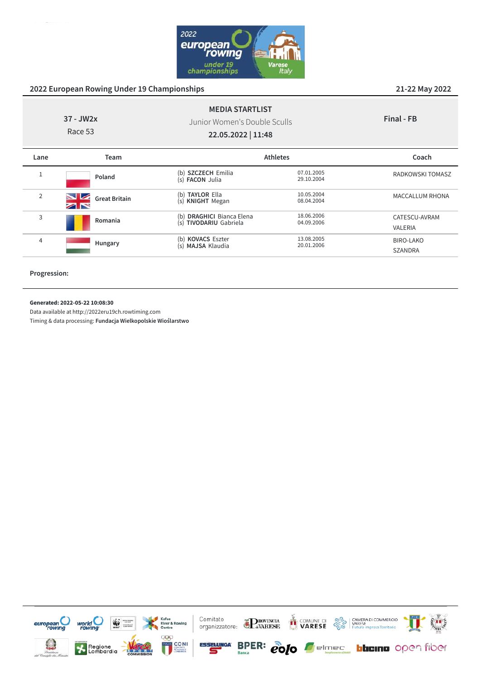

**Final - FB**

|           | <b>MEDIA STARTLIST</b>       |
|-----------|------------------------------|
| 37 - JW2x | Junior Women's Double Sculls |
| Race 53   | 22.05.2022   11:48           |
|           |                              |

**Lane Team Athletes Coach** 1 **Poland** (b) **SZCZECH** Emilia 07.01.2005<br>(s) **FACON** Julia 29.10.2004 (s) **FACON** Julia RADKOWSKI TOMASZ <sup>2</sup> **Great Britain** (**b**) **TAYLOR** Ella 10.05.2004<br>(s) **KNIGHT** Megan 08.04.2004 (s) **KNIGHT** Megan 08.04.2004 MACCALLUM RHONA <sup>3</sup> **Romania** (b) **DRAGHICI** Bianca Elena 18.06.2006 (s) **TIVODARIU** Gabriela 04.09.2006 CATESCU-AVRAM VALERIA <sup>4</sup> **Hungary** (b) **KOVACS** Eszter 13.08.2005 (s) **MAJSA** Klaudia 20.01.2006 BIRO-LAKO SZANDRA

**Progression:**

**Generated: 2022-05-22 10:08:30**

Data available at http://2022eru19ch.rowtiming.com

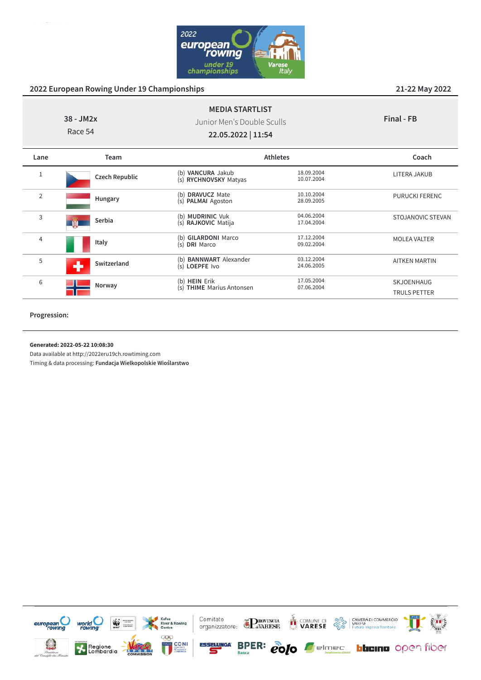

| $38 - JM2x$<br>Race 54 |                       | <b>MEDIA STARTLIST</b><br>Junior Men's Double Sculls<br>22.05.2022   11:54 |                          | Final - FB                        |
|------------------------|-----------------------|----------------------------------------------------------------------------|--------------------------|-----------------------------------|
| Lane                   | Team                  |                                                                            | <b>Athletes</b>          | Coach                             |
| 1                      | <b>Czech Republic</b> | (b) VANCURA Jakub<br>(s) RYCHNOVSKY Matyas                                 | 18.09.2004<br>10.07.2004 | LITERA JAKUB                      |
| $\overline{2}$         | Hungary               | <b>DRAVUCZ Mate</b><br>(b)<br>(s) PALMAI Agoston                           | 10.10.2004<br>28.09.2005 | <b>PURUCKI FERENC</b>             |
| 3                      | Serbia<br><b>FX</b>   | (b) MUDRINIC Vuk<br>(s) RAJKOVIC Matija                                    | 04.06.2004<br>17.04.2004 | STOJANOVIC STEVAN                 |
| 4                      | Italy                 | (b) GILARDONI Marco<br>(s) DRI Marco                                       | 17.12.2004<br>09.02.2004 | <b>MOLEA VALTER</b>               |
| 5                      | Switzerland           | <b>BANNWART</b> Alexander<br>(b)<br>(s) LOEPFE Ivo                         | 03.12.2004<br>24.06.2005 | <b>AITKEN MARTIN</b>              |
| 6                      | Norway                | (b) HEIN Erik<br>(s) THIME Marius Antonsen                                 | 17.05.2004<br>07.06.2004 | SKJOENHAUG<br><b>TRULS PETTER</b> |

**Progression:**

**Generated: 2022-05-22 10:08:30**

Data available at http://2022eru19ch.rowtiming.com

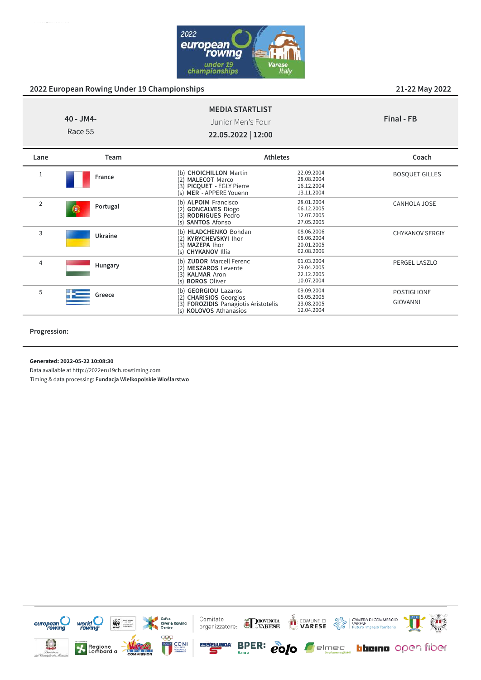

CANHOLA JOSE

CHYKANOV SERGIY

PERGEL LASZLO

POSTIGLIONE GIOVANNI

| 40 - JM4-<br>Race 55 |        | <b>MEDIA STARTLIST</b><br>Junior Men's Four<br>22.05.2022   12:00        |                                        | Final - FB            |
|----------------------|--------|--------------------------------------------------------------------------|----------------------------------------|-----------------------|
| Lane                 | Team   |                                                                          | <b>Athletes</b>                        | Coach                 |
|                      | France | (b) CHOICHILLON Martin<br>(2) MALECOT Marco<br>(3) PICQUET - EGLY Pierre | 22.09.2004<br>28.08.2004<br>16.12.2004 | <b>BOSQUET GILLES</b> |

MER - APPERE Youenn

(s) **CHYKANOV** Illia 02.08.2006

 $(s)$  **BOROS** Oliver

(s) **KOLOVOS** Athanasios

(**3) PICQUET** - EGLY Pierre 16.12.2004<br>(**5) MER** - APPERE Youenn 13.11.2004

(b) **ALPOIM** Francisco 28.01.2004 (2) **GONCALVES** Diogo 06.12.2005 (3) **RODRIGUES** Pedro 12.07.2005 (s) **SANTOS** Afonso 27.05.2005

(b) **HLADCHENKO** Bohdan 08.06.2006<br>
(2) **KYRYCHEVSKYI** Ihor 08.06.2004 (2) **KYRYCHEVSKYI** Ihor 08.06.2004<br>
(3) **MAZEPA** Ihor 20.01.2005 **MAZEPA Ihor** 20.01.2005<br> **CHYKANOV** Illia 202.08.2006

(b) **ZUDOR** Marcell Ferenc 01.03.2004<br>(2) **MESZAROS** Levente 29.04.2005 (2) **MESZAROS** Levente 29.04.2005<br>
(3) **KALMAR** Aron 22.12.2005 (3) **KALMAR** Aron 22.12.2005<br>
(5) **BOROS** Oliver 10.07.2004

(b) **GEORGIOU** Lazaros 09.09.2004 (2) **CHARISIOS** Georgios 05.05.2005 (3) **FOROZIDIS** Panagiotis Aristotelis 23.08.2005<br>(s) **KOLOVOS** Athanasios 12.04.2004

| Progression: |  |
|--------------|--|
|              |  |

**Generated: 2022-05-22 10:08:30**

2 **Portugal** 

<sup>3</sup> **Ukraine**

<sup>4</sup> **Hungary**

<sup>5</sup> **Greece**

Data available at http://2022eru19ch.rowtiming.com

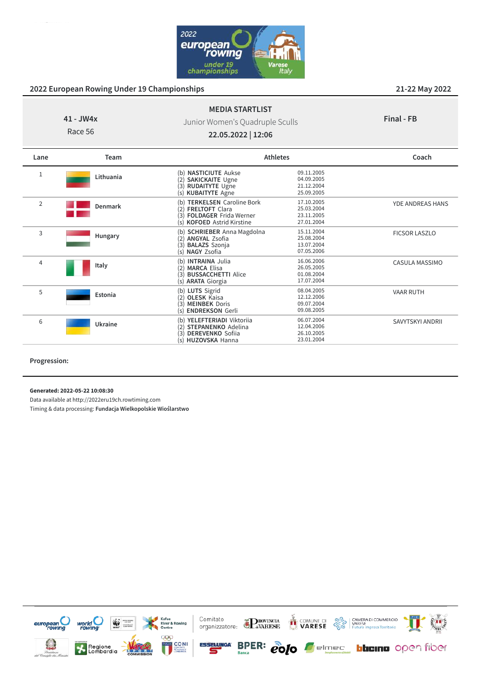

#### **41 - JW4x MEDIA STARTLIST** Junior Women's Quadruple Sculls

**Final - FB**

Race 56

**22.05.2022 | 12:06**

| Lane           | Team           | <b>Athletes</b>                                                                                                                                   |                                                      | Coach                   |
|----------------|----------------|---------------------------------------------------------------------------------------------------------------------------------------------------|------------------------------------------------------|-------------------------|
| 1              | Lithuania      | (b) <b>NASTICIUTE</b> Aukse<br><b>SAKICKAITE Ugne</b><br>(2)<br><b>RUDAITYTE Ugne</b><br>(3)<br><b>KUBAITYTE Agne</b><br>(s)                      | 09.11.2005<br>04.09.2005<br>21.12.2004<br>25.09.2005 |                         |
| $\overline{2}$ | <b>Denmark</b> | <b>TERKELSEN</b> Caroline Bork<br>(b)<br><b>FRELTOFT Clara</b><br>(2)<br><b>FOLDAGER Frida Werner</b><br>(3)<br>(s) <b>KOFOED</b> Astrid Kirstine | 17.10.2005<br>25.03.2004<br>23.11.2005<br>27.01.2004 | <b>YDE ANDREAS HANS</b> |
| 3              | Hungary        | (b) SCHRIEBER Anna Magdolna<br><b>ANGYAL Zsofia</b><br>(2)<br><b>BALAZS</b> Szonja<br>(3)<br><b>NAGY Zsofia</b><br>(s)                            | 15.11.2004<br>25.08.2004<br>13.07.2004<br>07.05.2006 | <b>FICSOR LASZLO</b>    |
| 4              | Italy          | <b>INTRAINA Julia</b><br>(b)<br><b>MARCA Elisa</b><br>(2)<br><b>BUSSACCHETTI Alice</b><br>(3)<br>(s) <b>ARATA</b> Giorgia                         | 16.06.2006<br>26.05.2005<br>01.08.2004<br>17.07.2004 | CASULA MASSIMO          |
| 5              | Estonia        | (b) LUTS Sigrid<br><b>OLESK Kaisa</b><br>(2)<br><b>MEINBEK Doris</b><br>(3)<br><b>ENDREKSON Gerli</b><br>(s)                                      | 08.04.2005<br>12.12.2006<br>09.07.2004<br>09.08.2005 | <b>VAAR RUTH</b>        |
| 6              | Ukraine        | YELEFTERIADI Viktoriia<br>(b)<br><b>STEPANENKO</b> Adelina<br>(2)<br><b>DEREVENKO</b> Sofiia<br>(3)<br>(s) HUZOVSKA Hanna                         | 06.07.2004<br>12.04.2006<br>26.10.2005<br>23.01.2004 | SAVYTSKYI ANDRII        |

**Progression:**

**Generated: 2022-05-22 10:08:30**

Data available at http://2022eru19ch.rowtiming.com

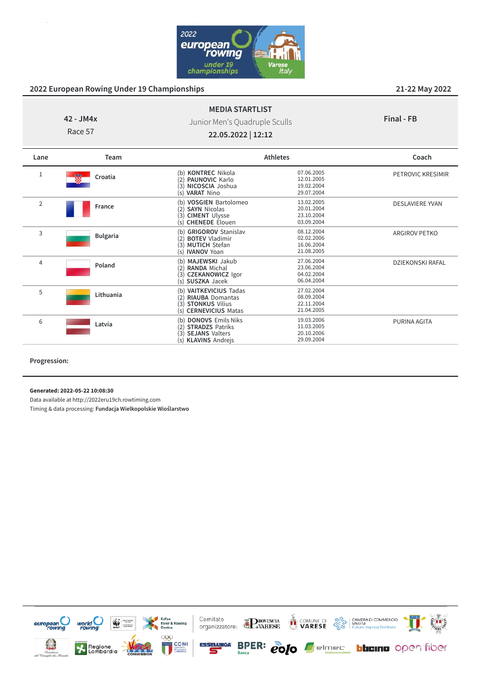

# **42 - JM4x** Race 57

Junior Men's Quadruple Sculls

**MEDIA STARTLIST**

**Final - FB**

**22.05.2022 | 12:12**

| Lane           | Team            |                                                                                                                               | <b>Athletes</b>                                      | Coach                  |
|----------------|-----------------|-------------------------------------------------------------------------------------------------------------------------------|------------------------------------------------------|------------------------|
|                | 蠮<br>Croatia    | <b>KONTREC Nikola</b><br>(2) <b>PAUNOVIC</b> Karlo<br>(3) NICOSCIA Joshua<br>(s) VARAT Nino                                   | 07.06.2005<br>12.01.2005<br>19.02.2004<br>29.07.2004 | PETROVIC KRESIMIR      |
| $\overline{2}$ | France          | <b>VOSGIEN Bartolomeo</b><br><b>SAYN Nicolas</b><br>(2)<br><b>CIMENT Ulysse</b><br>(3)<br><b>CHENEDE Elouen</b><br>(s)        | 13.02.2005<br>20.01.2004<br>23.10.2004<br>03.09.2004 | <b>DESLAVIERE YVAN</b> |
| 3              | <b>Bulgaria</b> | <b>GRIGOROV Stanislav</b><br>(b)<br><b>BOTEV Vladimir</b><br>(2)<br>(3) MUTICH Stefan<br>(s) <b>IVANOV</b> Yoan               | 08.12.2004<br>02.02.2006<br>16.06.2004<br>21.08.2005 | <b>ARGIROV PETKO</b>   |
| $\overline{4}$ | Poland          | MAJEWSKI Jakub<br>(b)<br><b>RANDA Michal</b><br>(2)<br><b>CZEKANOWICZ Igor</b><br>(3)<br>(s) SUSZKA Jacek                     | 27.06.2004<br>23.06.2004<br>04.02.2004<br>06.04.2004 | DZIEKONSKI RAFAL       |
| 5              | Lithuania       | <b>VAITKEVICIUS Tadas</b><br>(b)<br><b>RIAUBA Domantas</b><br><b>STONKUS Vilius</b><br>(3)<br><b>CERNEVICIUS Matas</b><br>(s) | 27.02.2004<br>08.09.2004<br>22.11.2004<br>21.04.2005 |                        |
| 6              | Latvia          | <b>DONOVS Emils Niks</b><br><b>STRADZS Patriks</b><br><b>SEJANS Valters</b><br>(3)<br>(s) KLAVINS Andrejs                     | 19.03.2006<br>11.03.2005<br>20.10.2006<br>29.09.2004 | PURINA AGITA           |

**Progression:**

**Generated: 2022-05-22 10:08:30**

Data available at http://2022eru19ch.rowtiming.com

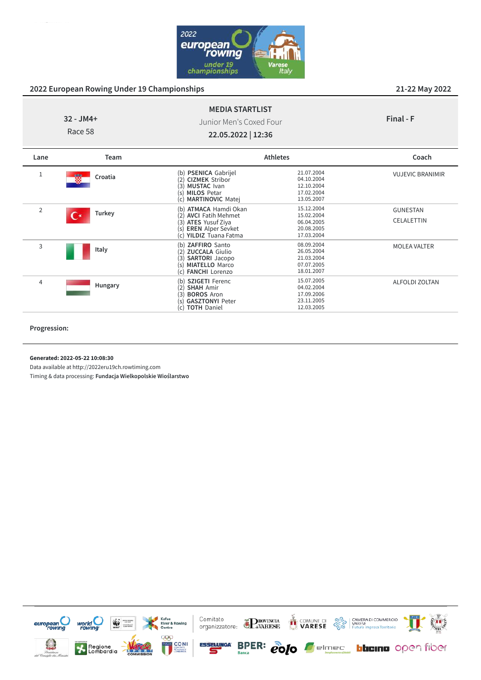

|            | <b>MEDIA STARTLIST</b>  |
|------------|-------------------------|
| -32 - JM4+ | Junior Men's Coxed Four |
| Race 58    | 22.05.2022   12:36      |

**Final - F**

| Lane           | Team                 |                                                                                                                                                                            | <b>Athletes</b>                                                    | Coach                                |
|----------------|----------------------|----------------------------------------------------------------------------------------------------------------------------------------------------------------------------|--------------------------------------------------------------------|--------------------------------------|
|                | 髓<br>Croatia         | (b) PSENICA Gabrijel<br><b>CIZMEK Stribor</b><br>(2)<br>(3)<br><b>MUSTAC</b> Ivan<br><b>MILOS Petar</b><br>(s<br><b>MARTINOVIC Matej</b><br>(c)                            | 21.07.2004<br>04.10.2004<br>12.10.2004<br>17.02.2004<br>13.05.2007 | <b>VUJEVIC BRANIMIR</b>              |
| $\overline{2}$ | <b>Turkey</b><br>r * | <b>ATMACA Hamdi Okan</b><br>(b)<br><b>AVCI</b> Fatih Mehmet<br>(2)<br><b>ATES</b> Yusuf Ziya<br>(3)<br><b>EREN</b> Alper Sevket<br>(S)<br><b>YILDIZ Tuana Fatma</b><br>(c) | 15.12.2004<br>15.02.2004<br>06.04.2005<br>20.08.2005<br>17.03.2004 | <b>GUNESTAN</b><br><b>CELALETTIN</b> |
| 3              | Italy                | ZAFFIRO Santo<br>(b)<br><b>ZUCCALA Giulio</b><br>(2)<br><b>SARTORI</b> Jacopo<br>(3)<br><b>MIATELLO Marco</b><br>(s)<br><b>FANCHI</b> Lorenzo<br>(c)                       | 08.09.2004<br>26.05.2004<br>21.03.2004<br>07.07.2005<br>18.01.2007 | <b>MOLEA VALTER</b>                  |
| 4              | Hungary              | <b>SZIGETI Ferenc</b><br>(b)<br><b>SHAH Amir</b><br>(2)<br>(3<br><b>BOROS Aron</b><br><b>GASZTONYI Peter</b><br>(s)<br><b>TOTH Daniel</b><br>(c)                           | 15.07.2005<br>04.02.2004<br>17.09.2006<br>23.11.2005<br>12.03.2005 | <b>ALFOLDI ZOLTAN</b>                |

**Progression:**

**Generated: 2022-05-22 10:08:30**

Data available at http://2022eru19ch.rowtiming.com

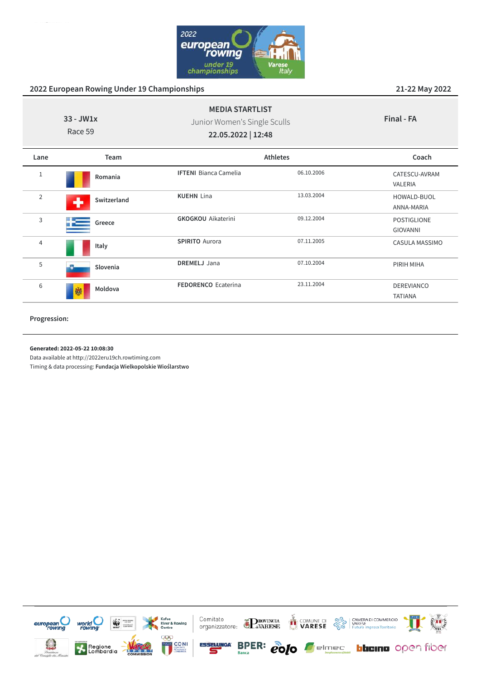

| $33 - JW1x$<br>Race 59 |                  | <b>MEDIA STARTLIST</b><br>Junior Women's Single Sculls<br>22.05.2022   12:48 |            | Final - FA                   |
|------------------------|------------------|------------------------------------------------------------------------------|------------|------------------------------|
| Lane                   | Team             | <b>Athletes</b>                                                              |            | Coach                        |
| 1                      | Romania          | <b>IFTENI</b> Bianca Camelia                                                 | 06.10.2006 | CATESCU-AVRAM<br>VALERIA     |
| $\overline{2}$         | Switzerland<br>┻ | <b>KUEHN Lina</b>                                                            | 13.03.2004 | HOWALD-BUOL<br>ANNA-MARIA    |
| 3                      | Greece           | <b>GKOGKOU</b> Aikaterini                                                    | 09.12.2004 | POSTIGLIONE<br>GIOVANNI      |
| $\overline{4}$         | Italy            | <b>SPIRITO Aurora</b>                                                        | 07.11.2005 | CASULA MASSIMO               |
| 5                      | Slovenia         | <b>DREMELJ</b> Jana                                                          | 07.10.2004 | PIRIH MIHA                   |
| 6                      | Moldova<br>鱜     | <b>FEDORENCO</b> Ecaterina                                                   | 23.11.2004 | DEREVIANCO<br><b>TATIANA</b> |

#### **Progression:**

**Generated: 2022-05-22 10:08:30**

Data available at http://2022eru19ch.rowtiming.com

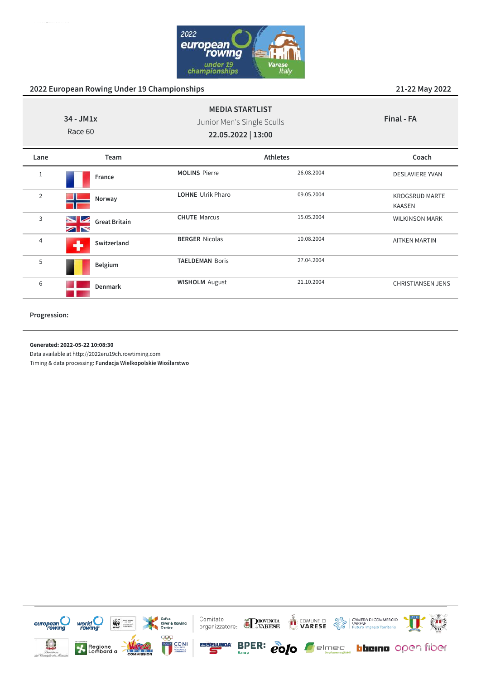

| $34 - JM1x$<br>Race 60 |                                        | <b>MEDIA STARTLIST</b><br>Junior Men's Single Sculls<br>22.05.2022   13:00 |            | Final - FA                             |
|------------------------|----------------------------------------|----------------------------------------------------------------------------|------------|----------------------------------------|
| Lane                   | <b>Team</b>                            |                                                                            | Athletes   | Coach                                  |
| 1                      | France                                 | <b>MOLINS Pierre</b>                                                       | 26.08.2004 | <b>DESLAVIERE YVAN</b>                 |
| $\overline{2}$         | Norway                                 | <b>LOHNE</b> Ulrik Pharo                                                   | 09.05.2004 | <b>KROGSRUD MARTE</b><br><b>KAASEN</b> |
| 3                      | $\blacksquare$<br><b>Great Britain</b> | <b>CHUTE Marcus</b>                                                        | 15.05.2004 | <b>WILKINSON MARK</b>                  |
| 4                      | Switzerland                            | <b>BERGER Nicolas</b>                                                      | 10.08.2004 | <b>AITKEN MARTIN</b>                   |
| 5                      | Belgium                                | <b>TAELDEMAN Boris</b>                                                     | 27.04.2004 |                                        |
| 6                      | <b>Denmark</b>                         | <b>WISHOLM August</b>                                                      | 21.10.2004 | <b>CHRISTIANSEN JENS</b>               |

**Progression:**

#### **Generated: 2022-05-22 10:08:30**

Data available at http://2022eru19ch.rowtiming.com

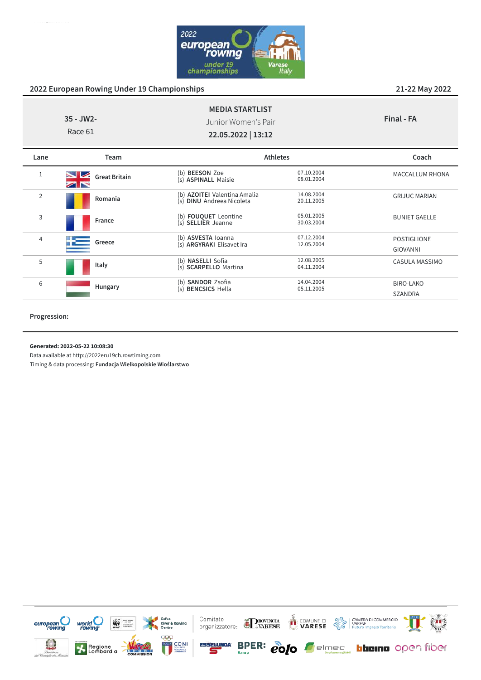

| $35 - JW2 -$<br>Race 61 |                      | <b>MEDIA STARTLIST</b><br>Junior Women's Pair<br>22.05.2022   13:12 |                          | Final - FA                     |
|-------------------------|----------------------|---------------------------------------------------------------------|--------------------------|--------------------------------|
| Lane                    | <b>Team</b>          | <b>Athletes</b>                                                     |                          | Coach                          |
|                         | <b>Great Britain</b> | (b) <b>BEESON</b> Zoe<br>(s) <b>ASPINALL</b> Maisie                 | 07.10.2004<br>08.01.2004 | MACCALLUM RHONA                |
| $\overline{2}$          | Romania              | (b) AZOITEI Valentina Amalia<br>(s) DINU Andreea Nicoleta           | 14.08.2004<br>20.11.2005 | <b>GRIJUC MARIAN</b>           |
| 3                       | France               | (b) <b>FOUQUET</b> Leontine<br>(s) SELLIER Jeanne                   | 05.01.2005<br>30.03.2004 | <b>BUNIET GAELLE</b>           |
| 4                       | Greece               | (b) ASVESTA loanna<br>(s) ARGYRAKI Elisavet Ira                     | 07.12.2004<br>12.05.2004 | POSTIGLIONE<br><b>GIOVANNI</b> |
| 5                       | Italy                | (b) NASELLI Sofia<br>(s) SCARPELLO Martina                          | 12.08.2005<br>04.11.2004 | CASULA MASSIMO                 |
| 6                       | Hungary              | (b) SANDOR Zsofia<br>(s) <b>BENCSICS</b> Hella                      | 14.04.2004<br>05.11.2005 | BIRO-LAKO<br>SZANDRA           |

#### **Progression:**

**Generated: 2022-05-22 10:08:30**

Data available at http://2022eru19ch.rowtiming.com

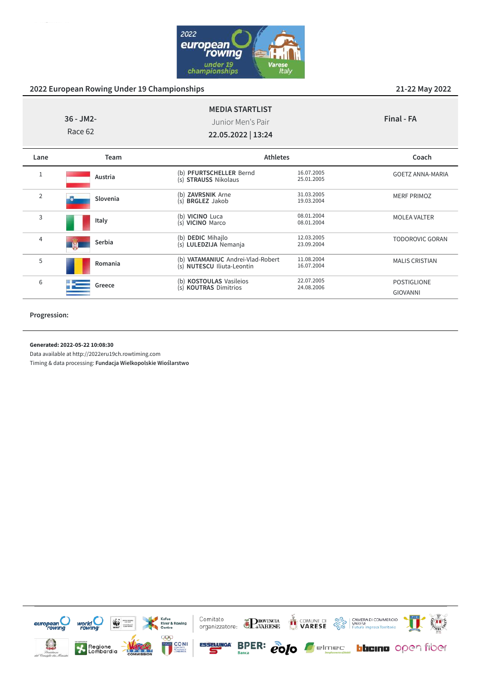

|                | $36 - JM2 -$<br>Race 62 | <b>MEDIA STARTLIST</b><br>Junior Men's Pair<br>22.05.2022   13:24 |                          | Final - FA                            |
|----------------|-------------------------|-------------------------------------------------------------------|--------------------------|---------------------------------------|
| Lane           | Team                    | <b>Athletes</b>                                                   |                          | Coach                                 |
| 1              | Austria                 | (b) PFURTSCHELLER Bernd<br>(s) STRAUSS Nikolaus                   | 16.07.2005<br>25.01.2005 | <b>GOETZ ANNA-MARIA</b>               |
| $\overline{2}$ | Slovenia                | (b) ZAVRSNIK Arne<br>(s) <b>BRGLEZ</b> Jakob                      | 31.03.2005<br>19.03.2004 | <b>MERF PRIMOZ</b>                    |
| 3              | Italy                   | (b) VICINO Luca<br>(s) VICINO Marco                               | 08.01.2004<br>08.01.2004 | <b>MOLEA VALTER</b>                   |
| 4              | Serbia                  | (b) DEDIC Mihajlo<br>(s) LULEDZIJA Nemanja                        | 12.03.2005<br>23.09.2004 | <b>TODOROVIC GORAN</b>                |
| 5              | Romania                 | (b) VATAMANIUC Andrei-Vlad-Robert<br>(s) NUTESCU Iliuta-Leontin   | 11.08.2004<br>16.07.2004 | <b>MALIS CRISTIAN</b>                 |
| 6              | Greece                  | (b) KOSTOULAS Vasileios<br>(s) KOUTRAS Dimitrios                  | 22.07.2005<br>24.08.2006 | <b>POSTIGLIONE</b><br><b>GIOVANNI</b> |

#### **Progression:**

**Generated: 2022-05-22 10:08:30**

Data available at http://2022eru19ch.rowtiming.com

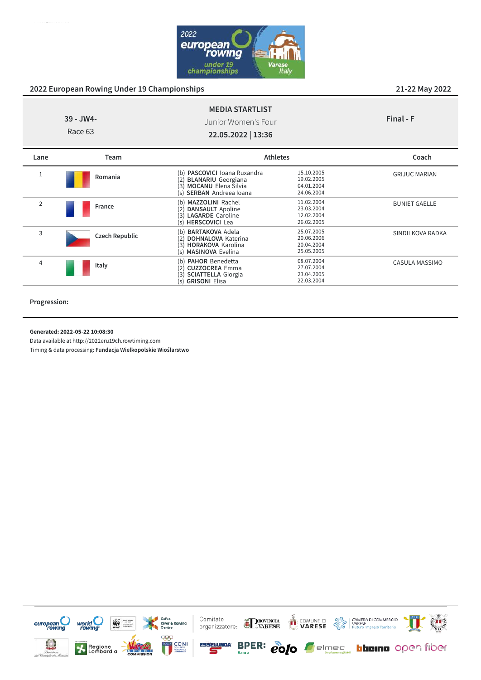

CASULA MASSIMO

|                | 39 - JW4-<br>Race 63  | <b>MEDIA STARTLIST</b><br>Junior Women's Four<br>22.05.2022   13:36                                                                         |                                                      | Final - F            |
|----------------|-----------------------|---------------------------------------------------------------------------------------------------------------------------------------------|------------------------------------------------------|----------------------|
| Lane           | Team                  | <b>Athletes</b>                                                                                                                             |                                                      | Coach                |
| T              | Romania               | (b) PASCOVICI Ioana Ruxandra<br><b>BLANARIU</b> Georgiana<br>(2)<br><b>MOCANU</b> Elena Silvia<br>(3)<br><b>SERBAN</b> Andreea Ioana<br>(s) | 15.10.2005<br>19.02.2005<br>04.01.2004<br>24.06.2004 | <b>GRIJUC MARIAN</b> |
| $\overline{2}$ | France                | (b) MAZZOLINI Rachel<br><b>DANSAULT</b> Apoline<br>(2)<br><b>LAGARDE</b> Caroline<br>(3)<br><b>HERSCOVICI Lea</b><br>(s)                    | 11.02.2004<br>23.03.2004<br>12.02.2004<br>26.02.2005 | <b>BUNIET GAELLE</b> |
| 3              | <b>Czech Republic</b> | <b>BARTAKOVA Adela</b><br>(b)<br><b>DOHNALOVA Katerina</b><br>12<br>(3)<br><b>HORAKOVA Karolina</b>                                         | 25.07.2005<br>20.06.2006<br>20.04.2004               | SINDILKOVA RADKA     |

(3) **HORAKOVA** Karolina 20.04.2004

(b) **PAHOR** Benedetta 08.07.2004 (2) **CUZZOCREA** Emma 27.07.2004 (3) **SCIATTELLA** Giorgia 23.04.2005 (s) **GRISONI** Elisa 22.03.2004

(s) **MASINOVA** Evelina

| Progression: |
|--------------|
|              |
|              |

4

#### **Generated: 2022-05-22 10:08:30**

Data available at http://2022eru19ch.rowtiming.com

**Italy**

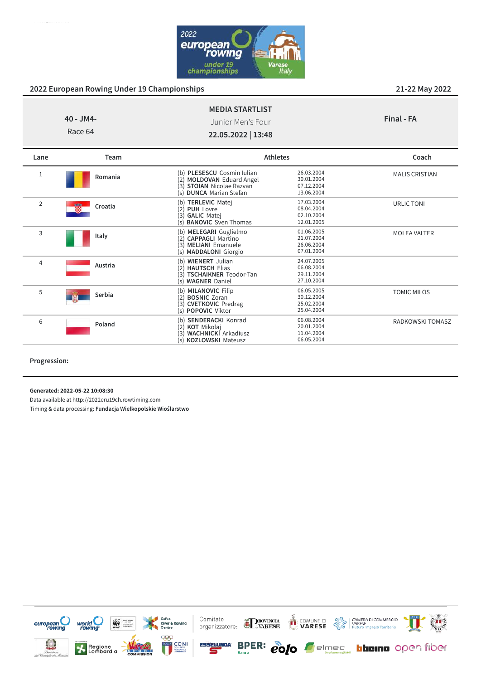

| Team<br>Lane |                      | <b>Athletes</b>                         | Coach      |
|--------------|----------------------|-----------------------------------------|------------|
|              | 40 - JM4-<br>Race 64 | Junior Men's Four<br>22.05.2022   13:48 | Final - FA |
|              |                      | <b>MEDIA STARTLIST</b>                  |            |

| 1              | Romania      | (b) PLESESCU Cosmin Iulian<br>(2) MOLDOVAN Eduard Angel<br><b>STOIAN</b> Nicolae Razvan<br>(3)<br>(s) DUNCA Marian Stefan     | 26.03.2004<br>30.01.2004<br>07.12.2004<br>13.06.2004 | <b>MALIS CRISTIAN</b> |
|----------------|--------------|-------------------------------------------------------------------------------------------------------------------------------|------------------------------------------------------|-----------------------|
| $\overline{2}$ | 磱<br>Croatia | <b>TERLEVIC Matej</b><br>(b)<br><b>PUH Lovre</b><br>(2)<br>(3) GALIC Matej<br>(s) <b>BANOVIC</b> Sven Thomas                  | 17.03.2004<br>08.04.2004<br>02.10.2004<br>12.01.2005 | <b>URLIC TONI</b>     |
| 3              | Italy        | (b) MELEGARI Guglielmo<br>(2) CAPPAGLI Martino<br>(3) MELIANI Emanuele<br>(s) <b>MADDALONI</b> Giorgio                        | 01.06.2005<br>21.07.2004<br>26.06.2004<br>07.01.2004 | <b>MOLEA VALTER</b>   |
| 4              | Austria      | <b>WIENERT</b> Julian<br>(b)<br>(2) HAUTSCH Elias<br><b>TSCHAIKNER Teodor-Tan</b><br>(s) WAGNER Daniel                        | 24.07.2005<br>06.08.2004<br>29.11.2004<br>27.10.2004 |                       |
| 5              | Serbia       | <b>MILANOVIC Filip</b><br>(b)<br><b>BOSNIC Zoran</b><br>(2)<br><b>CVETKOVIC</b> Predrag<br>'3)<br>(s) <b>POPOVIC</b> Viktor   | 06.05.2005<br>30.12.2004<br>25.02.2004<br>25.04.2004 | <b>TOMIC MILOS</b>    |
| 6              | Poland       | <b>SENDERACKI Konrad</b><br>(b)<br><b>KOT</b> Mikolaj<br><b>WACHNICKI</b> Arkadiusz<br>(3)<br><b>KOZLOWSKI Mateusz</b><br>(s) | 06.08.2004<br>20.01.2004<br>11.04.2004<br>06.05.2004 | RADKOWSKI TOMASZ      |

**Progression:**

**Generated: 2022-05-22 10:08:30**

Data available at http://2022eru19ch.rowtiming.com

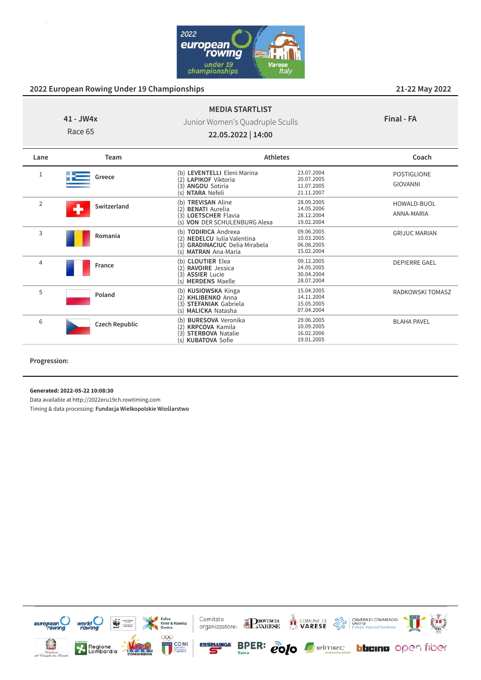

#### **41 - JW4x MEDIA STARTLIST** Junior Women's Quadruple Sculls

**Final - FA**

Race 65

**22.05.2022 | 14:00**

| Lane | Team                  | <b>Athletes</b>                                                                                                                             |                                                      | Coach                          |
|------|-----------------------|---------------------------------------------------------------------------------------------------------------------------------------------|------------------------------------------------------|--------------------------------|
| 1    | Greece                | (b) LEVENTELLI Eleni Marina<br><b>LAPIKOF</b> Viktoria<br>(2)<br><b>ANGOU Sotiria</b><br>(3)<br>NTARA Nefeli<br>(s)                         | 23.07.2004<br>20.07.2005<br>11.07.2005<br>21.11.2007 | <b>POSTIGLIONE</b><br>GIOVANNI |
| 2    | Switzerland           | <b>TREVISAN Aline</b><br>(b)<br><b>BENATI</b> Aurelia<br>(2)<br>(3)<br>LOETSCHER Flavia<br>(s) VON DER SCHULENBURG Alexa                    | 28.09.2005<br>14.05.2006<br>28.12.2004<br>19.02.2004 | HOWALD-BUOL<br>ANNA-MARIA      |
| 3    | Romania               | (b) TODIRICA Andreea<br><b>NEDELCU</b> Iulia Valentina<br>(2)<br><b>GRADINACIUC</b> Delia Mirabela<br>(3)<br><b>MATRAN</b> Ana-Maria<br>(s) | 09.06.2005<br>10.03.2005<br>06.08.2005<br>15.02.2004 | <b>GRIJUC MARIAN</b>           |
| 4    | France                | <b>CLOUTIER Elea</b><br>(b)<br><b>RAVOIRE</b> Jessica<br>(2)<br><b>ASSIER Lucie</b><br>(3)<br><b>MERDENS Maelle</b><br>(s)                  | 09.12.2005<br>24.05.2005<br>30.04.2004<br>28.07.2004 | <b>DEPIERRE GAEL</b>           |
| 5    | Poland                | <b>KUSIOWSKA Kinga</b><br>(b)<br><b>KHLIBENKO</b> Anna<br>(2)<br><b>STEFANIAK Gabriela</b><br>(3)<br><b>MALICKA Natasha</b><br>(s)          | 15.04.2005<br>14.11.2004<br>15.05.2005<br>07.04.2004 | <b>RADKOWSKI TOMASZ</b>        |
| 6    | <b>Czech Republic</b> | <b>BURESOVA</b> Veronika<br>(h)<br><b>KRPCOVA Kamila</b><br>(2)<br><b>STERBOVA Natalie</b><br>(3)<br><b>KUBATOVA Sofie</b><br>$(\varsigma)$ | 29.06.2005<br>10.09.2005<br>16.02.2006<br>19.01.2005 | <b>BLAHA PAVEL</b>             |

**Progression:**

**Generated: 2022-05-22 10:08:30**

Data available at http://2022eru19ch.rowtiming.com

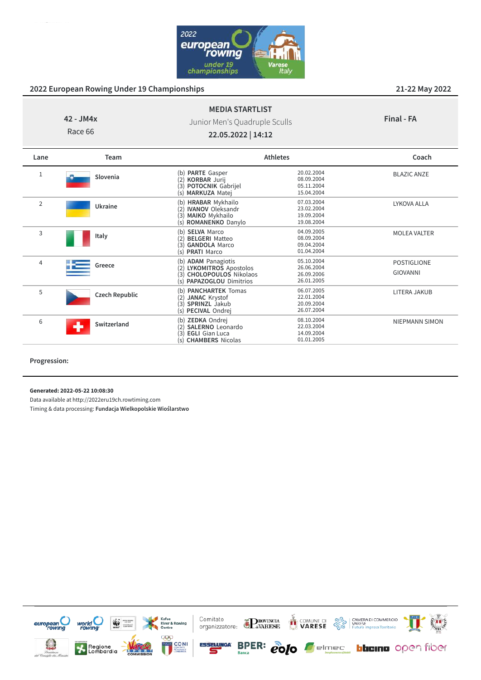

# **42 - JM4x**

Junior Men's Quadruple Sculls

**MEDIA STARTLIST**

| Final - FA |  |
|------------|--|
|------------|--|

MOLEA VALTER

POSTIGLIONE GIOVANNI

LITERA JAKUB

NIEPMANN SIMON

Race 66

<sup>2</sup> **Ukraine**

<sup>4</sup> **Greece**

<sup>5</sup> **Czech Republic**

<sup>6</sup> **Switzerland**

**Italy**

**22.05.2022 | 14:12**

(2) **IVANOV** Oleksandr 23.02.2004 (3) **MAIKO** Mykhailo 19.09.2004<br>
(5) **ROMANENKO** Danylo 19.08.2004

(b) **SELVA** Marco 04.09.2005<br>
(2) **BELGERI** Matteo 08.09.2004 (2) **BELGERI** Matteo 08.09.2004<br>
(3) **GANDOLA** Marco 09.04.2004 **GANDOLA** Marco 09.04.2004<br> **PRATI** Marco 01.04.2004

(b) **ADAM** Panagiotis 05.10.2004 (2) **LYKOMITROS** Apostolos 26.06.2004 (3) **CHOLOPOULOS** Nikolaos 26.09.2006<br>
(5) **PAPAZOGLOU** Dimitrios 26.01.2005

(b) **PANCHARTEK** Tomas 06.07.2005 (2) **JANAC** Krystof 22.01.2004 (**2) JANAC Krystof**<br>
(**3) SPRINZL** Jakub 20.09.2004<br>
(**s**) **PECIVAL** Ondrej 26.07.2004

(b) **ZEDKA** Ondrej 08.10.2004<br>
(2) **SALERNO** Leonardo 22.03.2004 (2) **SALERNO** Leonardo 22.03.2004 EGLI Gian Luca 14.09.2004<br>
CHAMBERS Nicolas 01.01.2005

(s) **ROMANENKO** Danylo 19.08.2004

(s) **PAPAZOGLOU** Dimitrios

(s) **PRATI** Marco

(s) **PECIVAL** Ondrei

(s) **CHAMBERS** Nicolas

| Lane | Team            |                                                                                    | <b>Athletes</b>                                      | Coach              |
|------|-----------------|------------------------------------------------------------------------------------|------------------------------------------------------|--------------------|
|      | Slovenia        | (b) PARTE Gasper<br>(2) KORBAR Jurij<br>(3) POTOCNIK Gabrijel<br>(s) MARKUZA Matej | 20.02.2004<br>08.09.2004<br>05.11.2004<br>15.04.2004 | <b>BLAZIC ANZE</b> |
|      | <b>Illezing</b> | (b) HRABAR Mykhailo                                                                | 07.03.2004<br>--------                               | LYKOVA ALLA        |

## **Progression:**

3

**Generated: 2022-05-22 10:08:30**

Data available at http://2022eru19ch.rowtiming.com

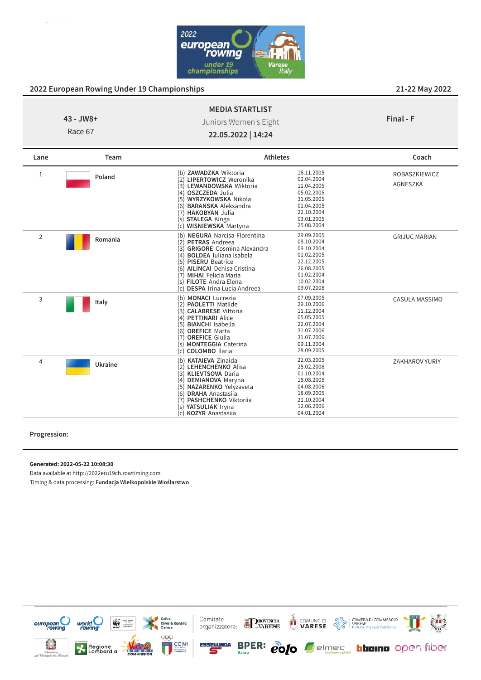

| $43 - JW8 +$<br>Race 67 |               | <b>MEDIA STARTLIST</b><br>Juniors Women's Eight<br>22.05.2022   14:24 |                 | Final - F     |
|-------------------------|---------------|-----------------------------------------------------------------------|-----------------|---------------|
| Lane                    | Team          |                                                                       | <b>Athletes</b> | Coach         |
|                         | <b>Doland</b> | ZAWADZKA Wiktoria<br>(b)                                              | 16.11.2005<br>. | ROBASZKIEWICZ |

| 1 | Poland  | (b) <b>ZAWADZKA</b> Wiktoria            | 16.11.2005 | ROBASZKIEWICZ         |
|---|---------|-----------------------------------------|------------|-----------------------|
|   |         | (2) LIPERTOWICZ Weronika                | 02.04.2004 | <b>AGNESZKA</b>       |
|   |         | (3) LEWANDOWSKA Wiktoria                | 11.04.2005 |                       |
|   |         | <b>OSZCZEDA</b> Julia<br>(4)            | 05.02.2005 |                       |
|   |         | WYRZYKOWSKA Nikola<br>(5)               | 31.05.2005 |                       |
|   |         | <b>BARANSKA</b> Aleksandra<br>(6)       | 01.04.2005 |                       |
|   |         | <b>HAKOBYAN Julia</b><br>(7)            | 22.10.2004 |                       |
|   |         | (s) <b>STALEGA</b> Kinga                | 03.01.2005 |                       |
|   |         | <b>WISNIEWSKA Martyna</b><br>(c)        | 25.08.2004 |                       |
| 2 |         | <b>NEGURA</b> Narcisa-Florentina<br>(b) | 29.09.2005 | <b>GRIJUC MARIAN</b>  |
|   | Romania | <b>PETRAS Andreea</b><br>(2)            | 08.10.2004 |                       |
|   |         | <b>GRIGORE</b> Cosmina Alexandra<br>(3) | 09.10.2004 |                       |
|   |         | <b>BOLDEA</b> Juliana Isabela<br>(4)    | 01.02.2005 |                       |
|   |         | <b>PISERU</b> Beatrice<br>(5)           | 22.12.2005 |                       |
|   |         | <b>AILINCAI</b> Denisa Cristina<br>6)   | 26.08.2005 |                       |
|   |         | <b>MIHAI Felicia Maria</b>              | 01.02.2004 |                       |
|   |         | <b>FILOTE</b> Andra Elena<br>(S)        | 10.02.2004 |                       |
|   |         | <b>DESPA Irina Lucia Andreea</b><br>(c) | 09.07.2008 |                       |
| 3 |         | <b>MONACI</b> Lucrezia<br>(b)           | 07.09.2005 | CASULA MASSIMO        |
|   | Italy   | <b>PAOLETTI Matilde</b><br>2)           | 29.10.2006 |                       |
|   |         | <b>CALABRESE Vittoria</b>               | 11.12.2004 |                       |
|   |         | <b>PETTINARI Alice</b>                  | 05.05.2005 |                       |
|   |         | <b>BIANCHI</b> Isabella                 | 22.07.2004 |                       |
|   |         | <b>OREFICE Marta</b><br>6)              | 31.07.2006 |                       |
|   |         | <b>OREFICE Giulia</b>                   | 31.07.2006 |                       |
|   |         | <b>MONTEGGIA Caterina</b>               | 09.11.2004 |                       |
|   |         | <b>COLOMBO</b> Ilaria                   | 28.09.2005 |                       |
| 4 |         | (b) KATAIEVA Zinaida                    | 22.03.2005 | <b>ZAKHAROV YURIY</b> |
|   | Ukraine | LEHENCHENKO Alisa<br>(2)                | 25.02.2006 |                       |
|   |         | <b>KLIEVTSOVA Daria</b><br>(3)          | 01.10.2004 |                       |
|   |         | <b>DEMIANOVA Maryna</b><br>(4)          | 18.08.2005 |                       |
|   |         | NAZARENKO Yelyzaveta                    | 04.08.2006 |                       |
|   |         | <b>DRAHA</b> Anastasija<br>(6)          | 18.09.2005 |                       |
|   |         | PASHCHENKO Viktoriia<br>7)              | 21.10.2004 |                       |
|   |         | YATSULIAK Iryna<br>(s)                  | 12.06.2006 |                       |
|   |         | <b>KOZYR</b> Anastasiia<br>(c)          | 04.01.2004 |                       |
|   |         |                                         |            |                       |

#### **Progression:**

#### **Generated: 2022-05-22 10:08:30**

Data available at http://2022eru19ch.rowtiming.com

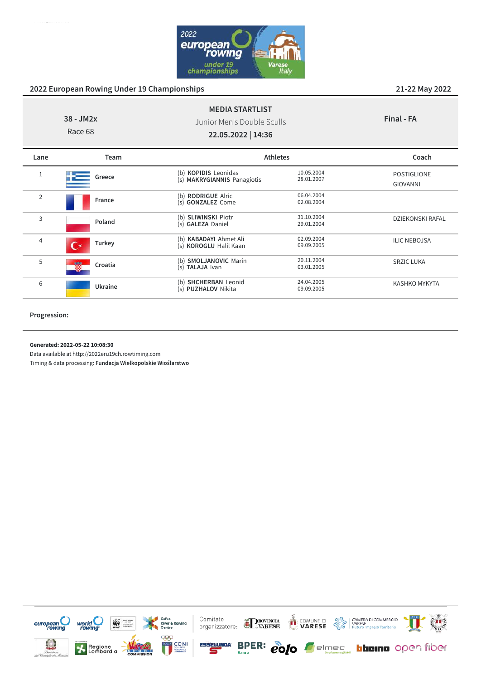

|                | 38 - JM2x<br>Race 68 | <b>MEDIA STARTLIST</b><br>Junior Men's Double Sculls<br>22.05.2022   14:36 |                          | Final - FA                            |
|----------------|----------------------|----------------------------------------------------------------------------|--------------------------|---------------------------------------|
| Lane           | Team                 | <b>Athletes</b>                                                            |                          | Coach                                 |
| 1              | Greece               | (b) KOPIDIS Leonidas<br>(s) MAKRYGIANNIS Panagiotis                        | 10.05.2004<br>28.01.2007 | <b>POSTIGLIONE</b><br><b>GIOVANNI</b> |
| $\overline{2}$ | France               | (b) RODRIGUE Alric<br>(s) GONZALEZ Come                                    | 06.04.2004<br>02.08.2004 |                                       |
| 3              | Poland               | (b) SLIWINSKI Piotr<br>(s) GALEZA Daniel                                   | 31.10.2004<br>29.01.2004 | <b>DZIEKONSKI RAFAL</b>               |
| 4              | Turkey               | (b) KABADAYI Ahmet Ali<br>(s) KOROGLU Halil Kaan                           | 02.09.2004<br>09.09.2005 | <b>ILIC NEBOJSA</b>                   |
| 5              | Croatia              | (b) <b>SMOLJANOVIC</b> Marin<br>(s) TALAJA Ivan                            | 20.11.2004<br>03.01.2005 | <b>SRZIC LUKA</b>                     |
| 6              | Ukraine              | (b) SHCHERBAN Leonid<br>(s) PUZHALOV Nikita                                | 24.04.2005<br>09.09.2005 | <b>KASHKO MYKYTA</b>                  |

#### **Progression:**

**Generated: 2022-05-22 10:08:30**

Data available at http://2022eru19ch.rowtiming.com

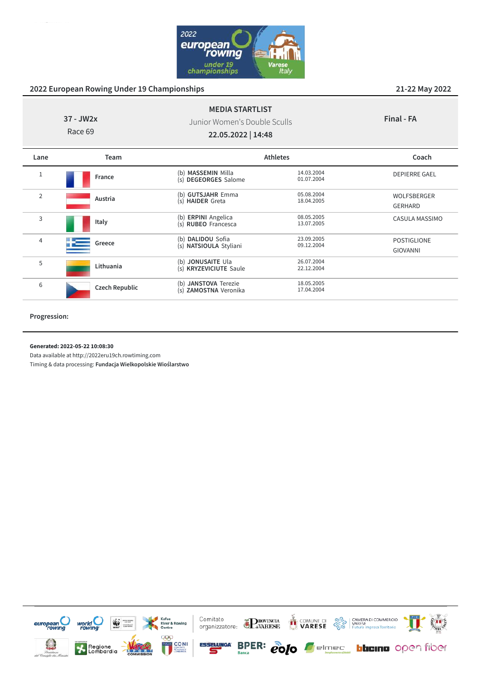

| 37 - JW2x<br>Race 69 |                | <b>MEDIA STARTLIST</b><br>Junior Women's Double Sculls<br>22.05.2022   14:48 |                          | Final - FA                            |
|----------------------|----------------|------------------------------------------------------------------------------|--------------------------|---------------------------------------|
| Lane                 | Team           | <b>Athletes</b>                                                              |                          | Coach                                 |
| 1                    | France         | (b) MASSEMIN Milla<br>(s) DEGEORGES Salome                                   | 14.03.2004<br>01.07.2004 | <b>DEPIERRE GAEL</b>                  |
| $\overline{2}$       | Austria        | (b) GUTSJAHR Emma<br>(s) HAIDER Greta                                        | 05.08.2004<br>18.04.2005 | WOLFSBERGER<br><b>GERHARD</b>         |
| 3                    | Italy          | (b) ERPINI Angelica<br>(s) RUBEO Francesca                                   | 08.05.2005<br>13.07.2005 | CASULA MASSIMO                        |
| 4                    | Greece         | (b) DALIDOU Sofia<br>(s) NATSIOULA Styliani                                  | 23.09.2005<br>09.12.2004 | <b>POSTIGLIONE</b><br><b>GIOVANNI</b> |
| 5                    | Lithuania      | (b) JONUSAITE Ula<br>(s) KRYZEVICIUTE Saule                                  | 26.07.2004<br>22.12.2004 |                                       |
| 6                    | Czech Republic | (b) JANSTOVA Terezie<br>(s) ZAMOSTNA Veronika                                | 18.05.2005<br>17.04.2004 |                                       |

#### **Progression:**

**Generated: 2022-05-22 10:08:30**

Data available at http://2022eru19ch.rowtiming.com